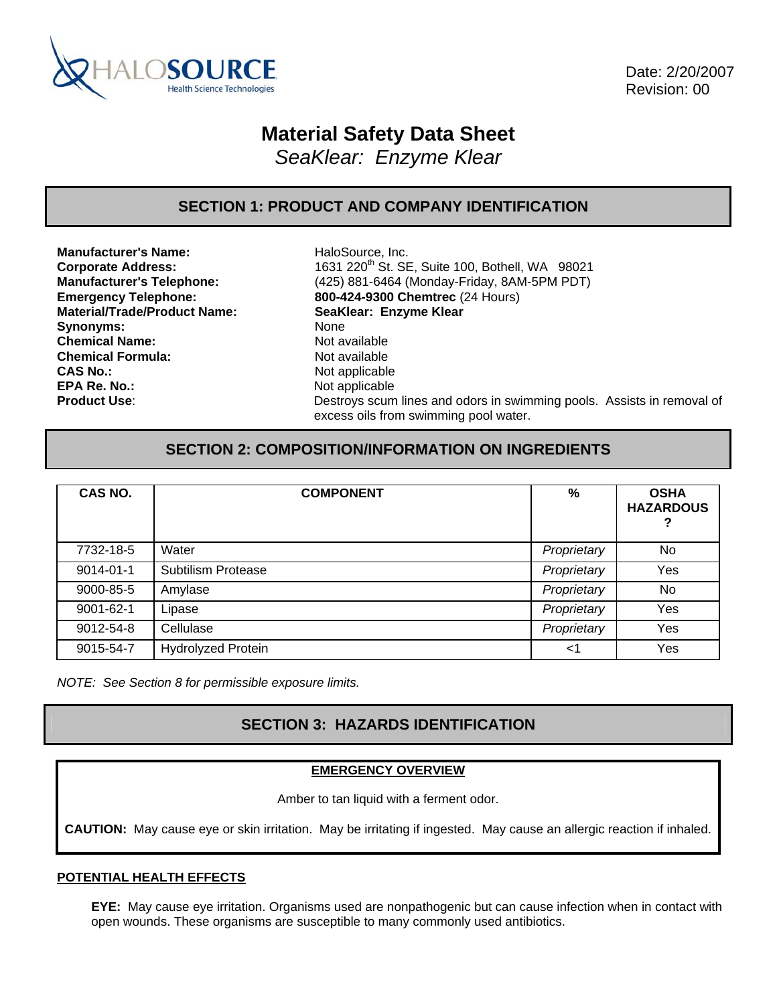

 Date: 2/20/2007 Revision: 00

# **Material Safety Data Sheet**

*SeaKlear: Enzyme Klear* 

### **SECTION 1: PRODUCT AND COMPANY IDENTIFICATION**

**Manufacturer's Name:** HaloSource, Inc. **Material/Trade/Product Name: SeaKlear: Enzyme Klear** Synonyms: None **Chemical Name:** Not available **Chemical Formula:** Not available **CAS No.:** Not applicable **EPA Re. No.: Not applicable** 

**Corporate Address:** 1631 220th St. SE, Suite 100, Bothell, WA 98021 **Manufacturer's Telephone:** (425) 881-6464 (Monday-Friday, 8AM-5PM PDT) **Emergency Telephone: 800-424-9300 Chemtrec** (24 Hours) **Product Use: Destroys scum lines and odors in swimming pools.** Assists in removal of excess oils from swimming pool water.

### **SECTION 2: COMPOSITION/INFORMATION ON INGREDIENTS**

| CAS NO.   | <b>COMPONENT</b>          | %           | <b>OSHA</b><br><b>HAZARDOUS</b> |
|-----------|---------------------------|-------------|---------------------------------|
| 7732-18-5 | Water                     | Proprietary | No                              |
| 9014-01-1 | <b>Subtilism Protease</b> | Proprietary | Yes                             |
| 9000-85-5 | Amylase                   | Proprietary | No                              |
| 9001-62-1 | Lipase                    | Proprietary | Yes                             |
| 9012-54-8 | Cellulase                 | Proprietary | Yes                             |
| 9015-54-7 | <b>Hydrolyzed Protein</b> | ا>          | Yes                             |

*NOTE: See Section 8 for permissible exposure limits.* 

# **SECTION 3: HAZARDS IDENTIFICATION**

#### **EMERGENCY OVERVIEW**

Amber to tan liquid with a ferment odor.

**CAUTION:** May cause eye or skin irritation. May be irritating if ingested. May cause an allergic reaction if inhaled.

#### **POTENTIAL HEALTH EFFECTS**

**EYE:** May cause eye irritation. Organisms used are nonpathogenic but can cause infection when in contact with open wounds. These organisms are susceptible to many commonly used antibiotics.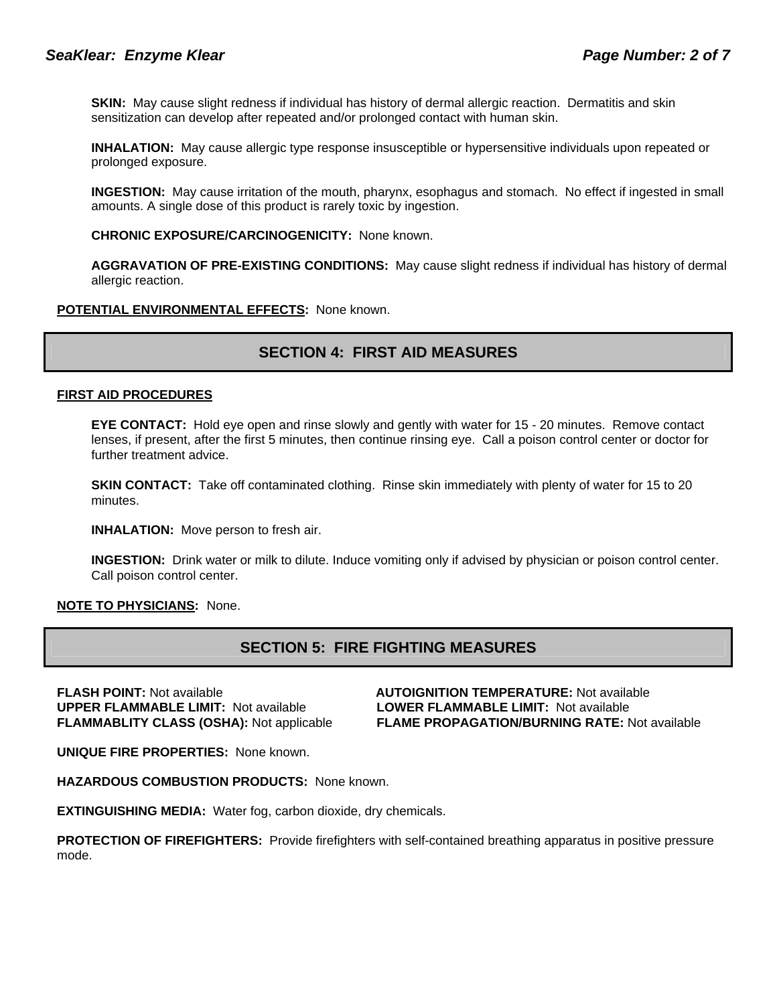**SKIN:** May cause slight redness if individual has history of dermal allergic reaction. Dermatitis and skin sensitization can develop after repeated and/or prolonged contact with human skin.

**INHALATION:** May cause allergic type response insusceptible or hypersensitive individuals upon repeated or prolonged exposure.

**INGESTION:** May cause irritation of the mouth, pharynx, esophagus and stomach. No effect if ingested in small amounts. A single dose of this product is rarely toxic by ingestion.

**CHRONIC EXPOSURE/CARCINOGENICITY:** None known.

**AGGRAVATION OF PRE-EXISTING CONDITIONS:** May cause slight redness if individual has history of dermal allergic reaction.

#### **POTENTIAL ENVIRONMENTAL EFFECTS:** None known.

# **SECTION 4: FIRST AID MEASURES**

#### **FIRST AID PROCEDURES**

**EYE CONTACT:** Hold eye open and rinse slowly and gently with water for 15 - 20 minutes. Remove contact lenses, if present, after the first 5 minutes, then continue rinsing eye. Call a poison control center or doctor for further treatment advice.

**SKIN CONTACT:** Take off contaminated clothing. Rinse skin immediately with plenty of water for 15 to 20 minutes.

**INHALATION:** Move person to fresh air.

**INGESTION:** Drink water or milk to dilute. Induce vomiting only if advised by physician or poison control center. Call poison control center.

**NOTE TO PHYSICIANS:** None.

### **SECTION 5: FIRE FIGHTING MEASURES**

**FLASH POINT:** Not available **AUTOIGNITION TEMPERATURE:** Not available **UPPER FLAMMABLE LIMIT:** Not available **LOWER FLAMMABLE LIMIT:** Not available

**FLAMMABLITY CLASS (OSHA):** Not applicable **FLAME PROPAGATION/BURNING RATE:** Not available

**UNIQUE FIRE PROPERTIES:** None known.

**HAZARDOUS COMBUSTION PRODUCTS:** None known.

**EXTINGUISHING MEDIA:** Water fog, carbon dioxide, dry chemicals.

**PROTECTION OF FIREFIGHTERS:** Provide firefighters with self-contained breathing apparatus in positive pressure mode.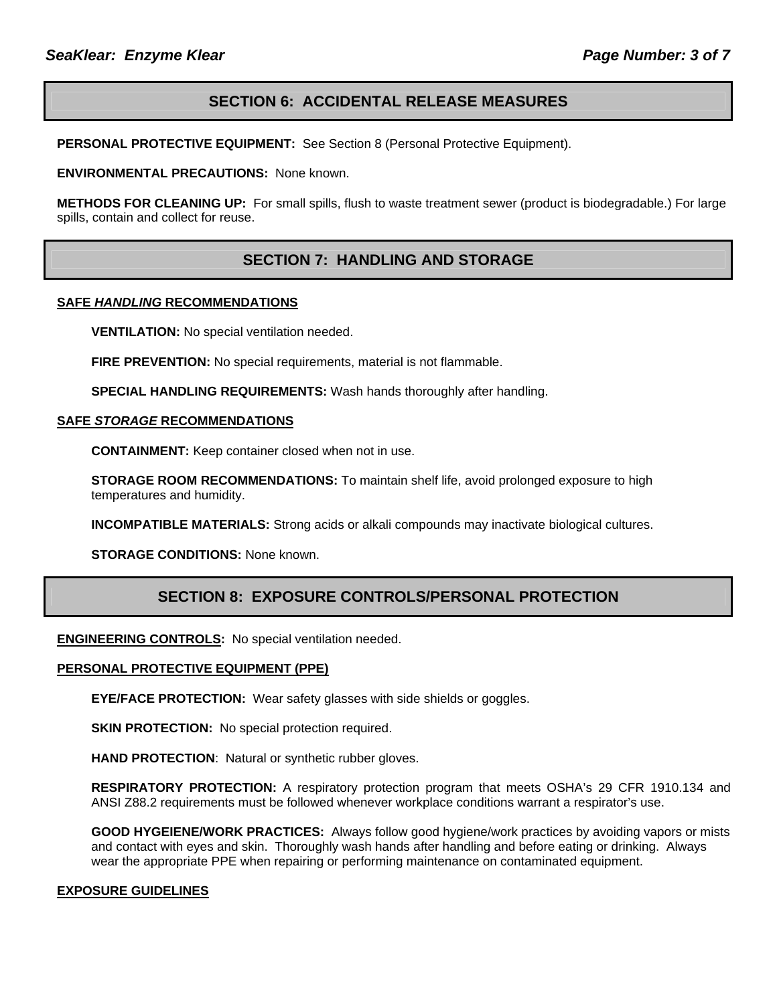# **SECTION 6: ACCIDENTAL RELEASE MEASURES**

**PERSONAL PROTECTIVE EQUIPMENT:** See Section 8 (Personal Protective Equipment).

**ENVIRONMENTAL PRECAUTIONS:** None known.

**METHODS FOR CLEANING UP:** For small spills, flush to waste treatment sewer (product is biodegradable.) For large spills, contain and collect for reuse.

# **SECTION 7: HANDLING AND STORAGE**

#### **SAFE** *HANDLING* **RECOMMENDATIONS**

**VENTILATION:** No special ventilation needed.

**FIRE PREVENTION:** No special requirements, material is not flammable.

**SPECIAL HANDLING REQUIREMENTS:** Wash hands thoroughly after handling.

#### **SAFE** *STORAGE* **RECOMMENDATIONS**

**CONTAINMENT:** Keep container closed when not in use.

**STORAGE ROOM RECOMMENDATIONS:** To maintain shelf life, avoid prolonged exposure to high temperatures and humidity.

**INCOMPATIBLE MATERIALS:** Strong acids or alkali compounds may inactivate biological cultures.

**STORAGE CONDITIONS:** None known.

### **SECTION 8: EXPOSURE CONTROLS/PERSONAL PROTECTION**

**ENGINEERING CONTROLS:** No special ventilation needed.

#### **PERSONAL PROTECTIVE EQUIPMENT (PPE)**

**EYE/FACE PROTECTION:** Wear safety glasses with side shields or goggles.

**SKIN PROTECTION:** No special protection required.

**HAND PROTECTION**: Natural or synthetic rubber gloves.

**RESPIRATORY PROTECTION:** A respiratory protection program that meets OSHA's 29 CFR 1910.134 and ANSI Z88.2 requirements must be followed whenever workplace conditions warrant a respirator's use.

**GOOD HYGEIENE/WORK PRACTICES:** Always follow good hygiene/work practices by avoiding vapors or mists and contact with eyes and skin. Thoroughly wash hands after handling and before eating or drinking. Always wear the appropriate PPE when repairing or performing maintenance on contaminated equipment.

#### **EXPOSURE GUIDELINES**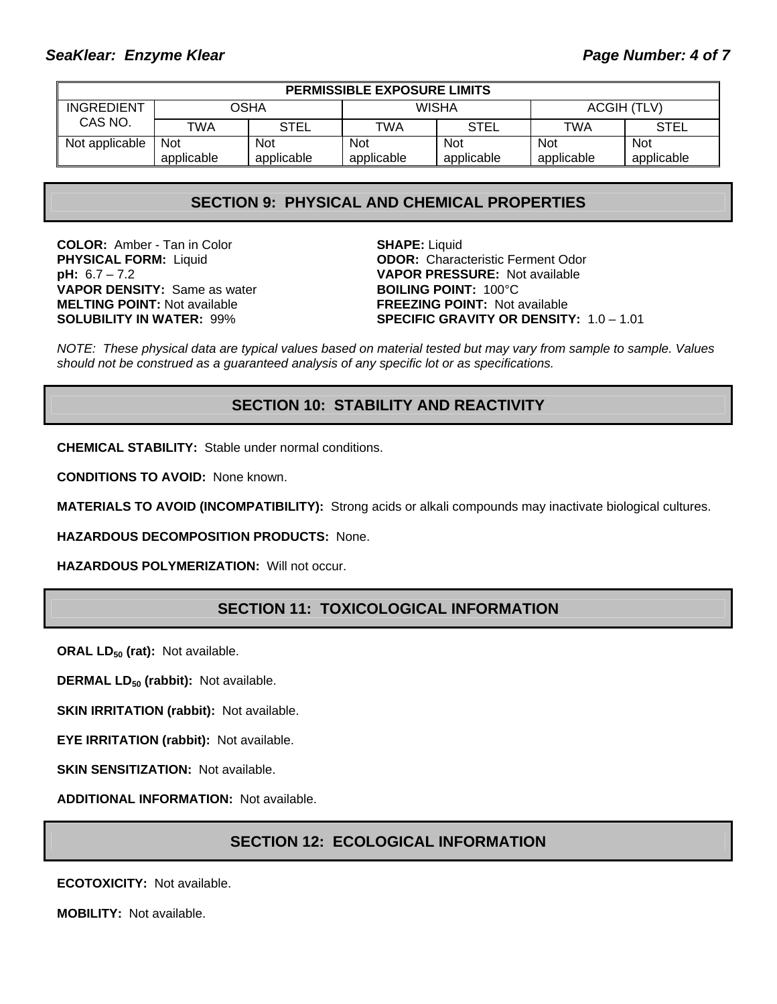| <b>PERMISSIBLE EXPOSURE LIMITS</b> |            |             |            |             |             |             |
|------------------------------------|------------|-------------|------------|-------------|-------------|-------------|
| INGREDIENT<br>CAS NO.              | OSHA       |             | WISHA      |             | ACGIH (TLV) |             |
|                                    | TWA        | <b>STEL</b> | TWA        | <b>STEL</b> | TWA         | <b>STEL</b> |
| Not applicable                     | <b>Not</b> | <b>Not</b>  | <b>Not</b> | <b>Not</b>  | Not         | <b>Not</b>  |
|                                    | applicable | applicable  | applicable | applicable  | applicable  | applicable  |

### **SECTION 9: PHYSICAL AND CHEMICAL PROPERTIES**

**COLOR:** Amber - Tan in Color **SHAPE:** Liquid **VAPOR DENSITY:** Same as water **BOILING POINT:** 100°C **MELTING POINT:** Not available **FREEZING POINT:** Not available

**PHYSICAL FORM:** Liquid **ODOR:** Characteristic Ferment Odor **pH:** 6.7 – 7.2 **VAPOR PRESSURE:** Not available **SOLUBILITY IN WATER:** 99% **SPECIFIC GRAVITY OR DENSITY:** 1.0 – 1.01

*NOTE: These physical data are typical values based on material tested but may vary from sample to sample. Values should not be construed as a guaranteed analysis of any specific lot or as specifications.*

### **SECTION 10: STABILITY AND REACTIVITY**

**CHEMICAL STABILITY:** Stable under normal conditions.

**CONDITIONS TO AVOID:** None known.

**MATERIALS TO AVOID (INCOMPATIBILITY):** Strong acids or alkali compounds may inactivate biological cultures.

**HAZARDOUS DECOMPOSITION PRODUCTS:** None.

**HAZARDOUS POLYMERIZATION:** Will not occur.

### **SECTION 11: TOXICOLOGICAL INFORMATION**

**ORAL LD<sub>50</sub> (rat):** Not available.

**DERMAL LD<sub>50</sub> (rabbit):** Not available.

**SKIN IRRITATION (rabbit): Not available.** 

**EYE IRRITATION (rabbit):** Not available.

**SKIN SENSITIZATION: Not available.** 

**ADDITIONAL INFORMATION:** Not available.

### **SECTION 12: ECOLOGICAL INFORMATION**

**ECOTOXICITY:** Not available.

**MOBILITY:** Not available.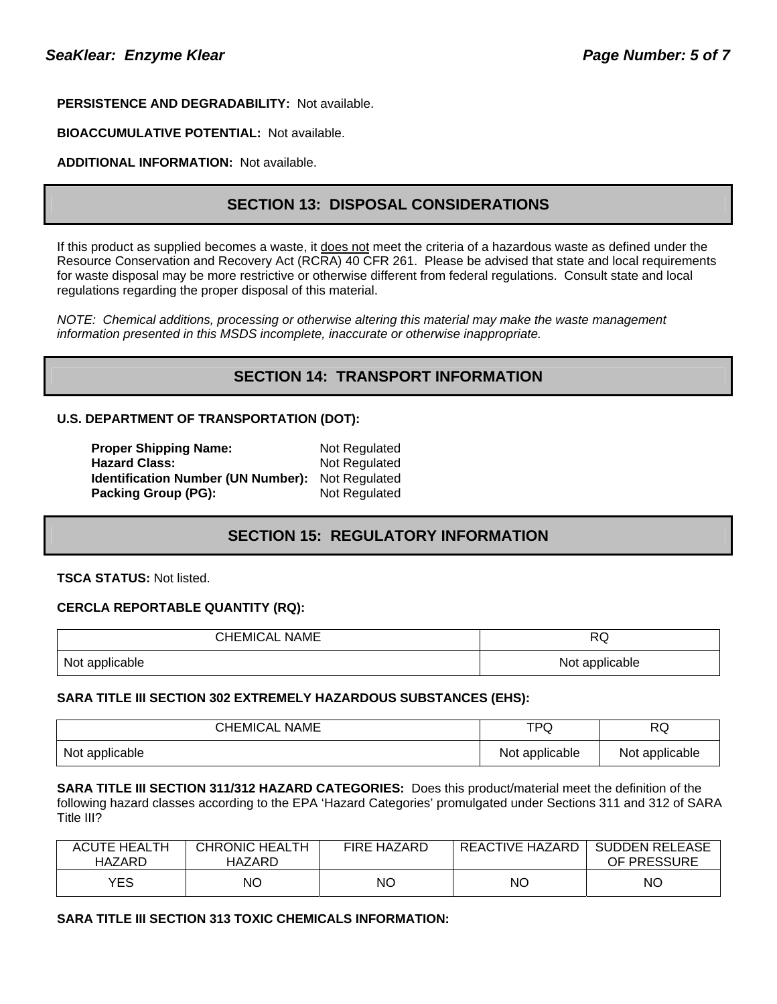### **PERSISTENCE AND DEGRADABILITY:** Not available.

#### **BIOACCUMULATIVE POTENTIAL:** Not available.

### **ADDITIONAL INFORMATION:** Not available.

# **SECTION 13: DISPOSAL CONSIDERATIONS**

If this product as supplied becomes a waste, it does not meet the criteria of a hazardous waste as defined under the Resource Conservation and Recovery Act (RCRA) 40 CFR 261. Please be advised that state and local requirements for waste disposal may be more restrictive or otherwise different from federal regulations. Consult state and local regulations regarding the proper disposal of this material.

*NOTE: Chemical additions, processing or otherwise altering this material may make the waste management information presented in this MSDS incomplete, inaccurate or otherwise inappropriate.* 

# **SECTION 14: TRANSPORT INFORMATION**

#### **U.S. DEPARTMENT OF TRANSPORTATION (DOT):**

| <b>Proper Shipping Name:</b>              | Not Regulated |
|-------------------------------------------|---------------|
| <b>Hazard Class:</b>                      | Not Regulated |
| <b>Identification Number (UN Number):</b> | Not Regulated |
| <b>Packing Group (PG):</b>                | Not Regulated |

### **SECTION 15: REGULATORY INFORMATION**

**TSCA STATUS:** Not listed.

#### **CERCLA REPORTABLE QUANTITY (RQ):**

| <b>CHEMICAL NAME</b> | D7<br>שר       |
|----------------------|----------------|
| Not applicable       | Not applicable |

#### **SARA TITLE III SECTION 302 EXTREMELY HAZARDOUS SUBSTANCES (EHS):**

| <b>CHEMICAL NAME</b> | TPQ            | <b>RQ</b>      |
|----------------------|----------------|----------------|
| Not applicable       | Not applicable | Not applicable |

**SARA TITLE III SECTION 311/312 HAZARD CATEGORIES:** Does this product/material meet the definition of the following hazard classes according to the EPA 'Hazard Categories' promulgated under Sections 311 and 312 of SARA Title III?

| <b>ACUTE HEALTH</b><br>HAZARD | <b>CHRONIC HEALTH</b><br>HAZARD | <b>FIRE HAZARD</b> | REACTIVE HAZARD | <b>SUDDEN RELEASE</b><br>OF PRESSURE |
|-------------------------------|---------------------------------|--------------------|-----------------|--------------------------------------|
| <b>YES</b>                    | ΝO                              | <b>NO</b>          | NΟ              | ΝO                                   |

#### **SARA TITLE III SECTION 313 TOXIC CHEMICALS INFORMATION:**